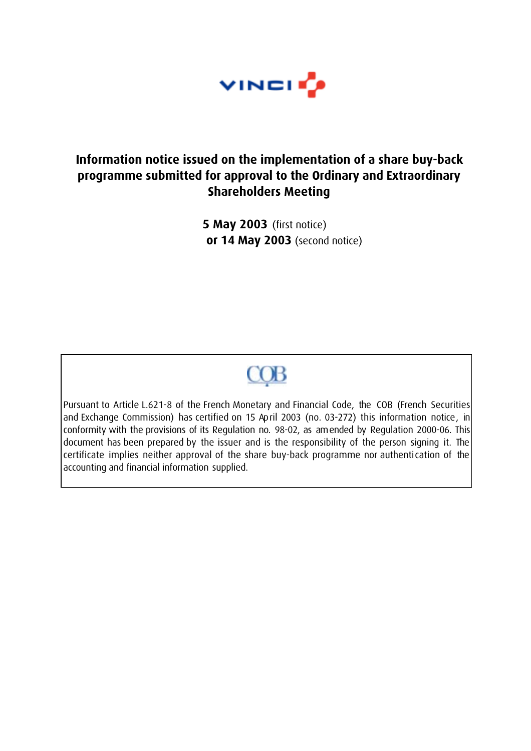

# **Information notice issued on the implementation of a share buy-back programme submitted for approval to the Ordinary and Extraordinary Shareholders Meeting**

**5 May 2003** (first notice)  **or 14 May 2003** (second notice)

# $COB$

Pursuant to Article L.621-8 of the French Monetary and Financial Code, the COB (French Securities and Exchange Commission) has certified on 15 April 2003 (no. 03-272) this information notice, in conformity with the provisions of its Regulation no. 98-02, as amended by Regulation 2000-06. This document has been prepared by the issuer and is the responsibility of the person signing it. The certificate implies neither approval of the share buy-back programme nor authentication of the accounting and financial information supplied.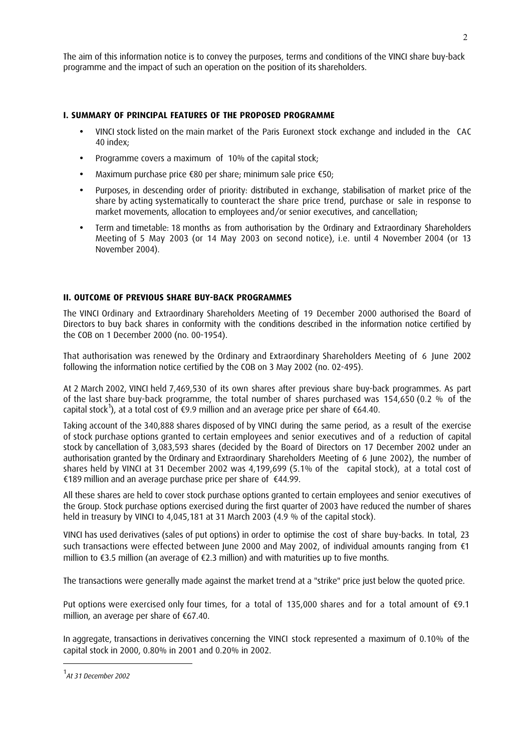The aim of this information notice is to convey the purposes, terms and conditions of the VINCI share buy-back programme and the impact of such an operation on the position of its shareholders.

#### **I. SUMMARY OF PRINCIPAL FEATURES OF THE PROPOSED PROGRAMME**

- VINCI stock listed on the main market of the Paris Euronext stock exchange and included in the CAC 40 index;
- Programme covers a maximum of 10% of the capital stock;
- Maximum purchase price €80 per share; minimum sale price €50;
- Purposes, in descending order of priority: distributed in exchange, stabilisation of market price of the share by acting systematically to counteract the share price trend, purchase or sale in response to market movements, allocation to employees and/or senior executives, and cancellation;
- Term and timetable: 18 months as from authorisation by the Ordinary and Extraordinary Shareholders Meeting of 5 May 2003 (or 14 May 2003 on second notice), i.e. until 4 November 2004 (or 13 November 2004).

## **II. OUTCOME OF PREVIOUS SHARE BUY-BACK PROGRAMMES**

The VINCI Ordinary and Extraordinary Shareholders Meeting of 19 December 2000 authorised the Board of Directors to buy back shares in conformity with the conditions described in the information notice certified by the COB on 1 December 2000 (no. 00-1954).

That authorisation was renewed by the Ordinary and Extraordinary Shareholders Meeting of 6 June 2002 following the information notice certified by the COB on 3 May 2002 (no. 02-495).

At 2 March 2002, VINCI held 7,469,530 of its own shares after previous share buy-back programmes. As part of the last share buy-back programme, the total number of shares purchased was 154,650 (0.2 % of the capital stock<sup>1</sup>), at a total cost of €9.9 million and an average price per share of €64.40.

Taking account of the 340,888 shares disposed of by VINCI during the same period, as a result of the exercise of stock purchase options granted to certain employees and senior executives and of a reduction of capital stock by cancellation of 3,083,593 shares (decided by the Board of Directors on 17 December 2002 under an authorisation granted by the Ordinary and Extraordinary Shareholders Meeting of 6 June 2002), the number of shares held by VINCI at 31 December 2002 was 4,199,699 (5.1% of the capital stock), at a total cost of €189 million and an average purchase price per share of €44.99.

All these shares are held to cover stock purchase options granted to certain employees and senior executives of the Group. Stock purchase options exercised during the first quarter of 2003 have reduced the number of shares held in treasury by VINCI to 4,045,181 at 31 March 2003 (4.9 % of the capital stock).

VINCI has used derivatives (sales of put options) in order to optimise the cost of share buy-backs. In total, 23 such transactions were effected between June 2000 and May 2002, of individual amounts ranging from €1 million to  $\epsilon$ 3.5 million (an average of  $\epsilon$ 2.3 million) and with maturities up to five months.

The transactions were generally made against the market trend at a "strike" price just below the quoted price.

Put options were exercised only four times, for a total of 135,000 shares and for a total amount of €9.1 million, an average per share of €67.40.

In aggregate, transactions in derivatives concerning the VINCI stock represented a maximum of 0.10% of the capital stock in 2000, 0.80% in 2001 and 0.20% in 2002.

 $\overline{a}$ 

<sup>&</sup>lt;sup>1</sup> At 31 December 2002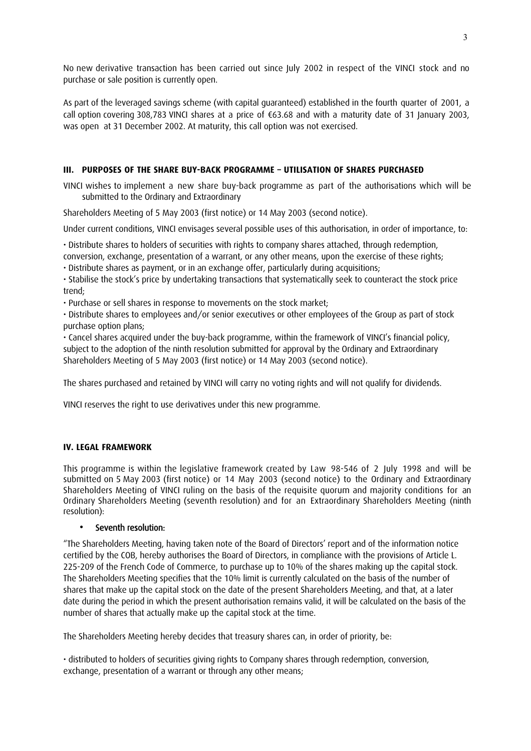No new derivative transaction has been carried out since July 2002 in respect of the VINCI stock and no purchase or sale position is currently open.

As part of the leveraged savings scheme (with capital guaranteed) established in the fourth quarter of 2001, a call option covering 308,783 VINCI shares at a price of €63.68 and with a maturity date of 31 January 2003, was open at 31 December 2002. At maturity, this call option was not exercised.

# **III. PURPOSES OF THE SHARE BUY-BACK PROGRAMME – UTILISATION OF SHARES PURCHASED**

VINCI wishes to implement a new share buy-back programme as part of the authorisations which will be submitted to the Ordinary and Extraordinary

Shareholders Meeting of 5 May 2003 (first notice) or 14 May 2003 (second notice).

Under current conditions, VINCI envisages several possible uses of this authorisation, in order of importance, to:

• Distribute shares to holders of securities with rights to company shares attached, through redemption, conversion, exchange, presentation of a warrant, or any other means, upon the exercise of these rights;

• Distribute shares as payment, or in an exchange offer, particularly during acquisitions;

• Stabilise the stock's price by undertaking transactions that systematically seek to counteract the stock price trend;

• Purchase or sell shares in response to movements on the stock market;

• Distribute shares to employees and/or senior executives or other employees of the Group as part of stock purchase option plans;

• Cancel shares acquired under the buy-back programme, within the framework of VINCI's financial policy, subject to the adoption of the ninth resolution submitted for approval by the Ordinary and Extraordinary Shareholders Meeting of 5 May 2003 (first notice) or 14 May 2003 (second notice).

The shares purchased and retained by VINCI will carry no voting rights and will not qualify for dividends.

VINCI reserves the right to use derivatives under this new programme.

## **IV. LEGAL FRAMEWORK**

This programme is within the legislative framework created by Law 98-546 of 2 July 1998 and will be submitted on 5 May 2003 (first notice) or 14 May 2003 (second notice) to the Ordinary and Extraordinary Shareholders Meeting of VINCI ruling on the basis of the requisite quorum and majority conditions for an Ordinary Shareholders Meeting (seventh resolution) and for an Extraordinary Shareholders Meeting (ninth resolution):

# • Seventh resolution:

"The Shareholders Meeting, having taken note of the Board of Directors' report and of the information notice certified by the COB, hereby authorises the Board of Directors, in compliance with the provisions of Article L. 225-209 of the French Code of Commerce, to purchase up to 10% of the shares making up the capital stock. The Shareholders Meeting specifies that the 10% limit is currently calculated on the basis of the number of shares that make up the capital stock on the date of the present Shareholders Meeting, and that, at a later date during the period in which the present authorisation remains valid, it will be calculated on the basis of the number of shares that actually make up the capital stock at the time.

The Shareholders Meeting hereby decides that treasury shares can, in order of priority, be:

• distributed to holders of securities giving rights to Company shares through redemption, conversion, exchange, presentation of a warrant or through any other means;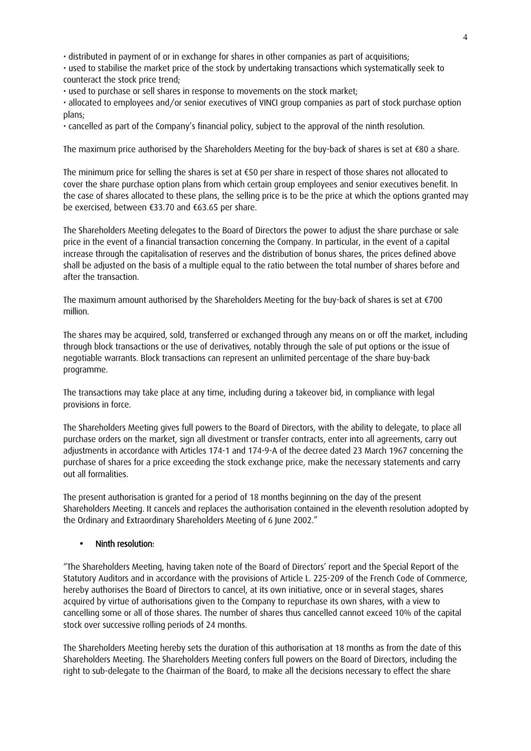• distributed in payment of or in exchange for shares in other companies as part of acquisitions;

• used to stabilise the market price of the stock by undertaking transactions which systematically seek to counteract the stock price trend;

• used to purchase or sell shares in response to movements on the stock market;

• allocated to employees and/or senior executives of VINCI group companies as part of stock purchase option plans;

• cancelled as part of the Company's financial policy, subject to the approval of the ninth resolution.

The maximum price authorised by the Shareholders Meeting for the buy-back of shares is set at €80 a share.

The minimum price for selling the shares is set at  $\epsilon$ 50 per share in respect of those shares not allocated to cover the share purchase option plans from which certain group employees and senior executives benefit. In the case of shares allocated to these plans, the selling price is to be the price at which the options granted may be exercised, between €33.70 and €63.65 per share.

The Shareholders Meeting delegates to the Board of Directors the power to adjust the share purchase or sale price in the event of a financial transaction concerning the Company. In particular, in the event of a capital increase through the capitalisation of reserves and the distribution of bonus shares, the prices defined above shall be adjusted on the basis of a multiple equal to the ratio between the total number of shares before and after the transaction.

The maximum amount authorised by the Shareholders Meeting for the buy-back of shares is set at €700 million.

The shares may be acquired, sold, transferred or exchanged through any means on or off the market, including through block transactions or the use of derivatives, notably through the sale of put options or the issue of negotiable warrants. Block transactions can represent an unlimited percentage of the share buy-back programme.

The transactions may take place at any time, including during a takeover bid, in compliance with legal provisions in force.

The Shareholders Meeting gives full powers to the Board of Directors, with the ability to delegate, to place all purchase orders on the market, sign all divestment or transfer contracts, enter into all agreements, carry out adjustments in accordance with Articles 174-1 and 174-9-A of the decree dated 23 March 1967 concerning the purchase of shares for a price exceeding the stock exchange price, make the necessary statements and carry out all formalities.

The present authorisation is granted for a period of 18 months beginning on the day of the present Shareholders Meeting. It cancels and replaces the authorisation contained in the eleventh resolution adopted by the Ordinary and Extraordinary Shareholders Meeting of 6 June 2002."

## • Ninth resolution:

"The Shareholders Meeting, having taken note of the Board of Directors' report and the Special Report of the Statutory Auditors and in accordance with the provisions of Article L. 225-209 of the French Code of Commerce, hereby authorises the Board of Directors to cancel, at its own initiative, once or in several stages, shares acquired by virtue of authorisations given to the Company to repurchase its own shares, with a view to cancelling some or all of those shares. The number of shares thus cancelled cannot exceed 10% of the capital stock over successive rolling periods of 24 months.

The Shareholders Meeting hereby sets the duration of this authorisation at 18 months as from the date of this Shareholders Meeting. The Shareholders Meeting confers full powers on the Board of Directors, including the right to sub-delegate to the Chairman of the Board, to make all the decisions necessary to effect the share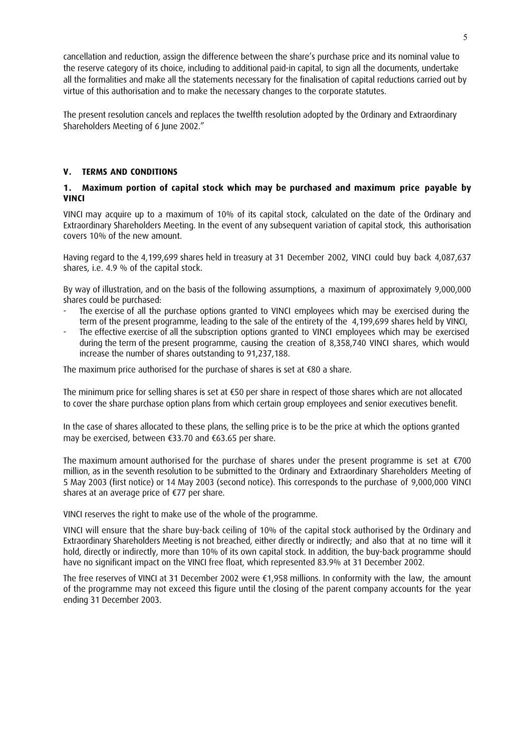cancellation and reduction, assign the difference between the share's purchase price and its nominal value to the reserve category of its choice, including to additional paid-in capital, to sign all the documents, undertake all the formalities and make all the statements necessary for the finalisation of capital reductions carried out by virtue of this authorisation and to make the necessary changes to the corporate statutes.

The present resolution cancels and replaces the twelfth resolution adopted by the Ordinary and Extraordinary Shareholders Meeting of 6 June 2002."

## **V. TERMS AND CONDITIONS**

# **1. Maximum portion of capital stock which may be purchased and maximum price payable by VINCI**

VINCI may acquire up to a maximum of 10% of its capital stock, calculated on the date of the Ordinary and Extraordinary Shareholders Meeting. In the event of any subsequent variation of capital stock, this authorisation covers 10% of the new amount.

Having regard to the 4,199,699 shares held in treasury at 31 December 2002, VINCI could buy back 4,087,637 shares, i.e. 4.9 % of the capital stock.

By way of illustration, and on the basis of the following assumptions, a maximum of approximately 9,000,000 shares could be purchased:

- The exercise of all the purchase options granted to VINCI employees which may be exercised during the term of the present programme, leading to the sale of the entirety of the 4,199,699 shares held by VINCI,
- The effective exercise of all the subscription options granted to VINCI employees which may be exercised during the term of the present programme, causing the creation of 8,358,740 VINCI shares, which would increase the number of shares outstanding to 91,237,188.

The maximum price authorised for the purchase of shares is set at €80 a share.

The minimum price for selling shares is set at €50 per share in respect of those shares which are not allocated to cover the share purchase option plans from which certain group employees and senior executives benefit.

In the case of shares allocated to these plans, the selling price is to be the price at which the options granted may be exercised, between €33.70 and €63.65 per share.

The maximum amount authorised for the purchase of shares under the present programme is set at €700 million, as in the seventh resolution to be submitted to the Ordinary and Extraordinary Shareholders Meeting of 5 May 2003 (first notice) or 14 May 2003 (second notice). This corresponds to the purchase of 9,000,000 VINCI shares at an average price of €77 per share.

VINCI reserves the right to make use of the whole of the programme.

VINCI will ensure that the share buy-back ceiling of 10% of the capital stock authorised by the Ordinary and Extraordinary Shareholders Meeting is not breached, either directly or indirectly; and also that at no time will it hold, directly or indirectly, more than 10% of its own capital stock. In addition, the buy-back programme should have no significant impact on the VINCI free float, which represented 83.9% at 31 December 2002.

The free reserves of VINCI at 31 December 2002 were €1,958 millions. In conformity with the law, the amount of the programme may not exceed this figure until the closing of the parent company accounts for the year ending 31 December 2003.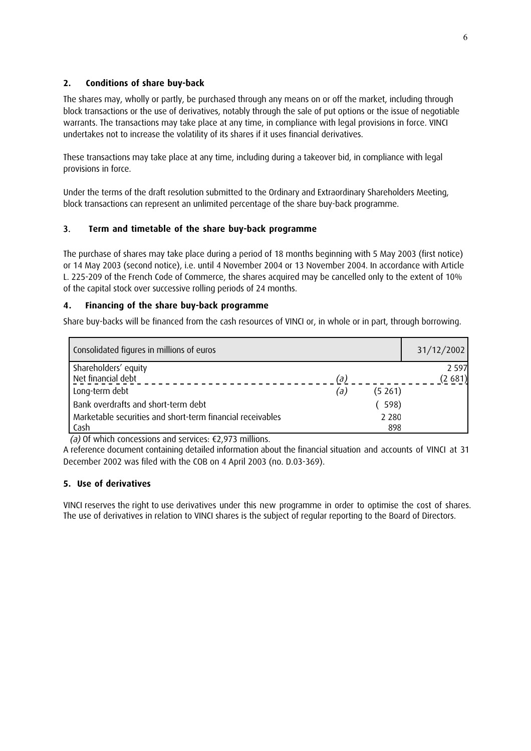# **2. Conditions of share buy-back**

The shares may, wholly or partly, be purchased through any means on or off the market, including through block transactions or the use of derivatives, notably through the sale of put options or the issue of negotiable warrants. The transactions may take place at any time, in compliance with legal provisions in force. VINCI undertakes not to increase the volatility of its shares if it uses financial derivatives.

These transactions may take place at any time, including during a takeover bid, in compliance with legal provisions in force.

Under the terms of the draft resolution submitted to the Ordinary and Extraordinary Shareholders Meeting, block transactions can represent an unlimited percentage of the share buy-back programme.

# 3. **Term and timetable of the share buy-back programme**

The purchase of shares may take place during a period of 18 months beginning with 5 May 2003 (first notice) or 14 May 2003 (second notice), i.e. until 4 November 2004 or 13 November 2004. In accordance with Article L. 225-209 of the French Code of Commerce, the shares acquired may be cancelled only to the extent of 10% of the capital stock over successive rolling periods of 24 months.

# **4. Financing of the share buy-back programme**

Share buy-backs will be financed from the cash resources of VINCI or, in whole or in part, through borrowing.

| Consolidated figures in millions of euros                  |               | 31/12/2002 |
|------------------------------------------------------------|---------------|------------|
| Shareholders' equity                                       |               | 2 5 9 7    |
| Net financial debt                                         | (a)           | (2681)     |
| Long-term debt                                             | (5261)<br>(a) |            |
| Bank overdrafts and short-term debt                        | (598)         |            |
| Marketable securities and short-term financial receivables | 2 2 8 0       |            |
| Cash                                                       | 898           |            |

(a) Of which concessions and services:  $\epsilon$ 2,973 millions.

A reference document containing detailed information about the financial situation and accounts of VINCI at 31 December 2002 was filed with the COB on 4 April 2003 (no. D.03-369).

# **5. Use of derivatives**

VINCI reserves the right to use derivatives under this new programme in order to optimise the cost of shares. The use of derivatives in relation to VINCI shares is the subject of regular reporting to the Board of Directors.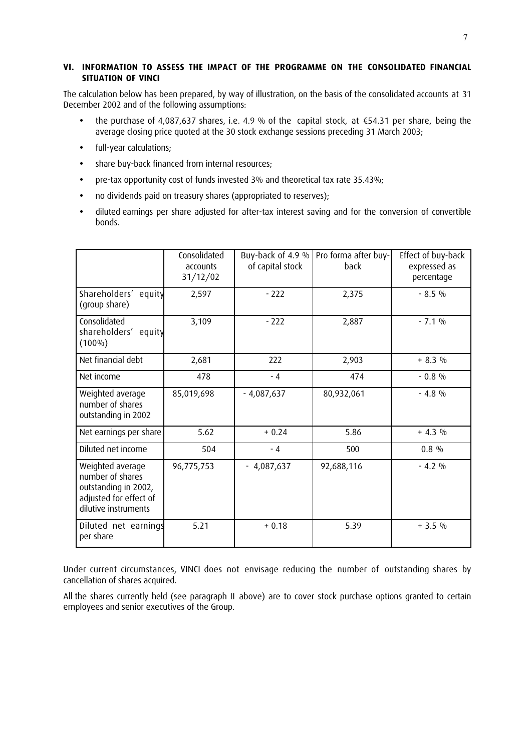## **VI. INFORMATION TO ASSESS THE IMPACT OF THE PROGRAMME ON THE CONSOLIDATED FINANCIAL SITUATION OF VINCI**

The calculation below has been prepared, by way of illustration, on the basis of the consolidated accounts at 31 December 2002 and of the following assumptions:

- the purchase of 4,087,637 shares, i.e. 4.9 % of the capital stock, at €54.31 per share, being the average closing price quoted at the 30 stock exchange sessions preceding 31 March 2003;
- full-year calculations;
- share buy-back financed from internal resources;
- pre-tax opportunity cost of funds invested 3% and theoretical tax rate 35.43%;
- no dividends paid on treasury shares (appropriated to reserves);
- diluted earnings per share adjusted for after-tax interest saving and for the conversion of convertible bonds.

|                                                                                                                | Consolidated<br>accounts<br>31/12/02 | Buy-back of 4.9 %<br>of capital stock | Pro forma after buy-<br>back | Effect of buy-back<br>expressed as<br>percentage |  |
|----------------------------------------------------------------------------------------------------------------|--------------------------------------|---------------------------------------|------------------------------|--------------------------------------------------|--|
| Shareholders' equity<br>(group share)                                                                          | 2,597                                | $-222$                                | 2,375                        | $-8.5\%$                                         |  |
| Consolidated<br>shareholders' equity<br>$(100\%)$                                                              | 3,109                                | $-222$                                | 2,887                        | $-7.1%$                                          |  |
| Net financial debt                                                                                             | 2,681                                | 222                                   | 2,903                        | $+8.3%$                                          |  |
| Net income                                                                                                     | 478                                  | $-4$                                  | 474                          | $-0.8\%$                                         |  |
| Weighted average<br>number of shares<br>outstanding in 2002                                                    | 85,019,698                           | $-4,087,637$                          | 80,932,061                   | $-4.8\%$                                         |  |
| Net earnings per share                                                                                         | 5.62                                 | $+0.24$                               | 5.86                         | $+ 4.3 %$                                        |  |
| Diluted net income                                                                                             | 504                                  | $-4$                                  | 500                          | $0.8\%$                                          |  |
| Weighted average<br>number of shares<br>outstanding in 2002,<br>adjusted for effect of<br>dilutive instruments | 96,775,753                           | $-4,087,637$                          | 92,688,116                   | $-4.2\%$                                         |  |
| Diluted net earnings<br>per share                                                                              | 5.21                                 | $+0.18$                               | 5.39                         | $+3.5%$                                          |  |

Under current circumstances, VINCI does not envisage reducing the number of outstanding shares by cancellation of shares acquired.

All the shares currently held (see paragraph II above) are to cover stock purchase options granted to certain employees and senior executives of the Group.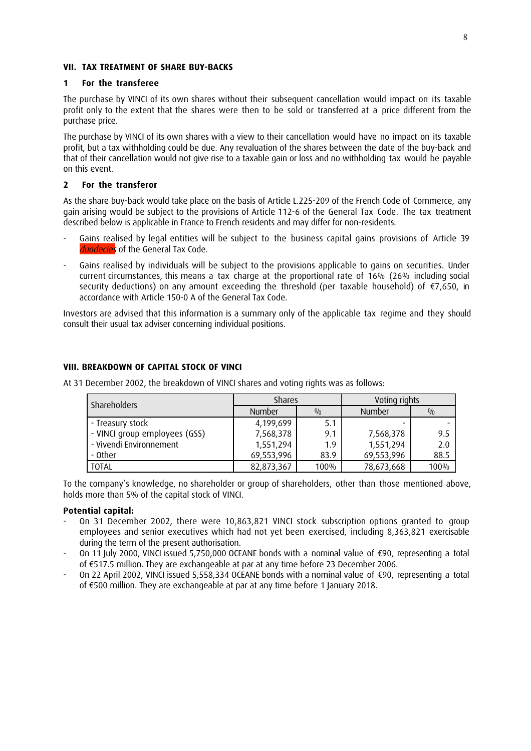#### **VII. TAX TREATMENT OF SHARE BUY-BACKS**

#### **1 For the transferee**

The purchase by VINCI of its own shares without their subsequent cancellation would impact on its taxable profit only to the extent that the shares were then to be sold or transferred at a price different from the purchase price.

The purchase by VINCI of its own shares with a view to their cancellation would have no impact on its taxable profit, but a tax withholding could be due. Any revaluation of the shares between the date of the buy-back and that of their cancellation would not give rise to a taxable gain or loss and no withholding tax would be payable on this event.

#### **2 For the transferor**

As the share buy-back would take place on the basis of Article L.225-209 of the French Code of Commerce, any gain arising would be subject to the provisions of Article 112-6 of the General Tax Code. The tax treatment described below is applicable in France to French residents and may differ for non-residents.

- Gains realised by legal entities will be subject to the business capital gains provisions of Article 39 duodecies of the General Tax Code.
- Gains realised by individuals will be subject to the provisions applicable to gains on securities. Under current circumstances, this means a tax charge at the proportional rate of 16% (26% including social security deductions) on any amount exceeding the threshold (per taxable household) of €7,650, in accordance with Article 150-0 A of the General Tax Code.

Investors are advised that this information is a summary only of the applicable tax regime and they should consult their usual tax adviser concerning individual positions.

#### **VIII. BREAKDOWN OF CAPITAL STOCK OF VINCI**

At 31 December 2002, the breakdown of VINCI shares and voting rights was as follows:

| <b>Shareholders</b>           | <b>Shares</b> |      | Voting rights |               |
|-------------------------------|---------------|------|---------------|---------------|
|                               | <b>Number</b> | 0/0  | <b>Number</b> | $\frac{0}{0}$ |
| - Treasury stock              | 4,199,699     | 5.1  | -             |               |
| - VINCI group employees (GSS) | 7,568,378     | 9.1  | 7,568,378     | 9.5           |
| - Vivendi Environnement       | 1,551,294     | 1.9  | 1,551,294     | 2.0           |
| - Other                       | 69,553,996    | 83.9 | 69,553,996    | 88.5          |
| <b>TOTAL</b>                  | 82,873,367    | 100% | 78,673,668    | 100%          |

To the company's knowledge, no shareholder or group of shareholders, other than those mentioned above, holds more than 5% of the capital stock of VINCI.

#### **Potential capital:**

- On 31 December 2002, there were 10,863,821 VINCI stock subscription options granted to group employees and senior executives which had not yet been exercised, including 8,363,821 exercisable during the term of the present authorisation.
- On 11 July 2000, VINCI issued 5,750,000 OCEANE bonds with a nominal value of €90, representing a total of €517.5 million. They are exchangeable at par at any time before 23 December 2006.
- On 22 April 2002, VINCI issued 5,558,334 OCEANE bonds with a nominal value of €90, representing a total of €500 million. They are exchangeable at par at any time before 1 January 2018.